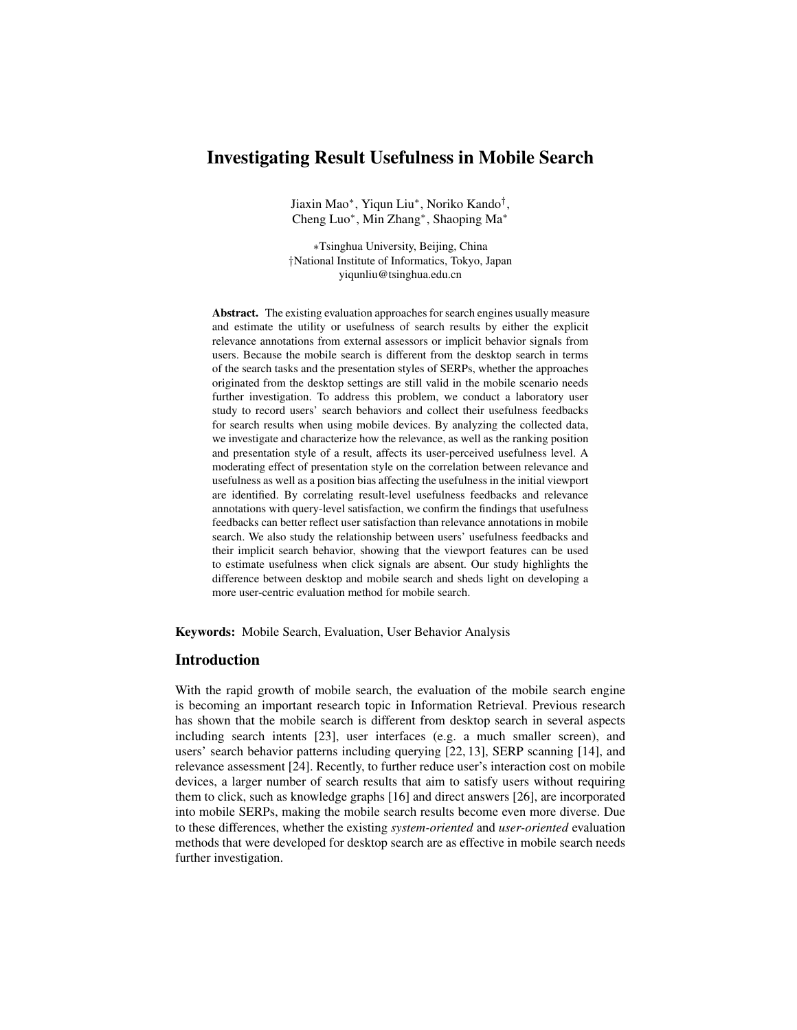# Investigating Result Usefulness in Mobile Search

Jiaxin Mao<sup>∗</sup> , Yiqun Liu<sup>∗</sup> , Noriko Kando† , Cheng Luo<sup>∗</sup> , Min Zhang<sup>∗</sup> , Shaoping Ma<sup>∗</sup>

∗Tsinghua University, Beijing, China †National Institute of Informatics, Tokyo, Japan yiqunliu@tsinghua.edu.cn

Abstract. The existing evaluation approaches for search engines usually measure and estimate the utility or usefulness of search results by either the explicit relevance annotations from external assessors or implicit behavior signals from users. Because the mobile search is different from the desktop search in terms of the search tasks and the presentation styles of SERPs, whether the approaches originated from the desktop settings are still valid in the mobile scenario needs further investigation. To address this problem, we conduct a laboratory user study to record users' search behaviors and collect their usefulness feedbacks for search results when using mobile devices. By analyzing the collected data, we investigate and characterize how the relevance, as well as the ranking position and presentation style of a result, affects its user-perceived usefulness level. A moderating effect of presentation style on the correlation between relevance and usefulness as well as a position bias affecting the usefulness in the initial viewport are identified. By correlating result-level usefulness feedbacks and relevance annotations with query-level satisfaction, we confirm the findings that usefulness feedbacks can better reflect user satisfaction than relevance annotations in mobile search. We also study the relationship between users' usefulness feedbacks and their implicit search behavior, showing that the viewport features can be used to estimate usefulness when click signals are absent. Our study highlights the difference between desktop and mobile search and sheds light on developing a more user-centric evaluation method for mobile search.

Keywords: Mobile Search, Evaluation, User Behavior Analysis

#### Introduction

With the rapid growth of mobile search, the evaluation of the mobile search engine is becoming an important research topic in Information Retrieval. Previous research has shown that the mobile search is different from desktop search in several aspects including search intents [23], user interfaces (e.g. a much smaller screen), and users' search behavior patterns including querying [22, 13], SERP scanning [14], and relevance assessment [24]. Recently, to further reduce user's interaction cost on mobile devices, a larger number of search results that aim to satisfy users without requiring them to click, such as knowledge graphs [16] and direct answers [26], are incorporated into mobile SERPs, making the mobile search results become even more diverse. Due to these differences, whether the existing *system-oriented* and *user-oriented* evaluation methods that were developed for desktop search are as effective in mobile search needs further investigation.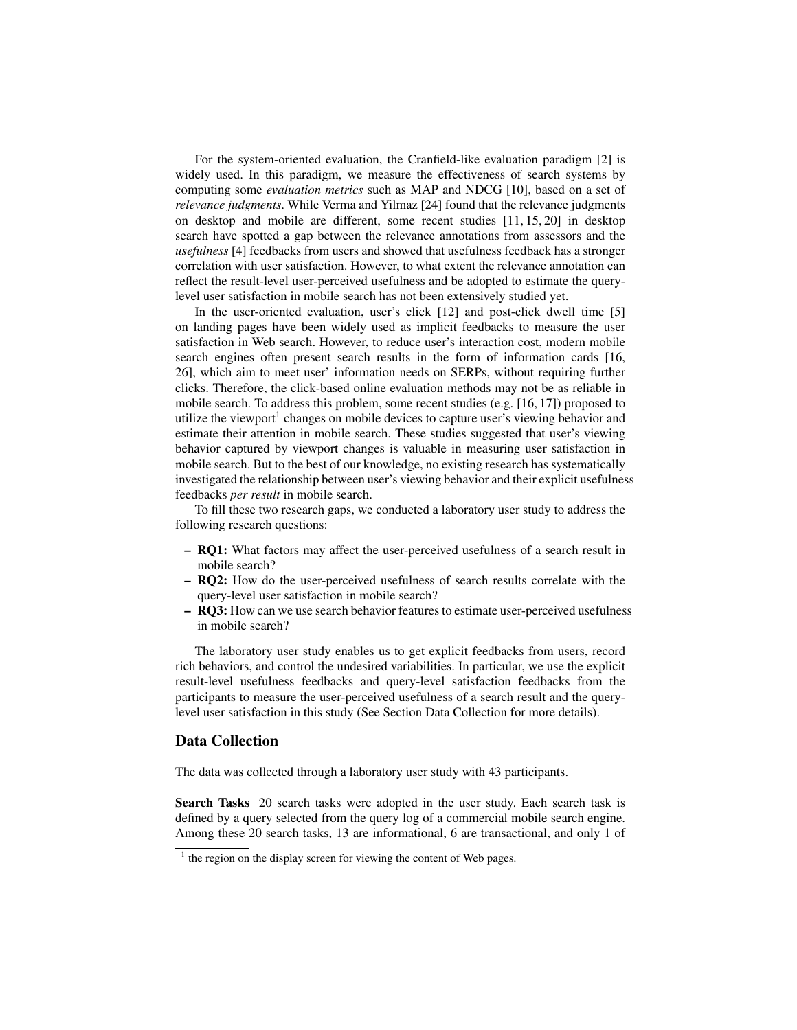For the system-oriented evaluation, the Cranfield-like evaluation paradigm [2] is widely used. In this paradigm, we measure the effectiveness of search systems by computing some *evaluation metrics* such as MAP and NDCG [10], based on a set of *relevance judgments*. While Verma and Yilmaz [24] found that the relevance judgments on desktop and mobile are different, some recent studies [11, 15, 20] in desktop search have spotted a gap between the relevance annotations from assessors and the *usefulness* [4] feedbacks from users and showed that usefulness feedback has a stronger correlation with user satisfaction. However, to what extent the relevance annotation can reflect the result-level user-perceived usefulness and be adopted to estimate the querylevel user satisfaction in mobile search has not been extensively studied yet.

In the user-oriented evaluation, user's click [12] and post-click dwell time [5] on landing pages have been widely used as implicit feedbacks to measure the user satisfaction in Web search. However, to reduce user's interaction cost, modern mobile search engines often present search results in the form of information cards [16, 26], which aim to meet user' information needs on SERPs, without requiring further clicks. Therefore, the click-based online evaluation methods may not be as reliable in mobile search. To address this problem, some recent studies (e.g. [16, 17]) proposed to utilize the viewport<sup>1</sup> changes on mobile devices to capture user's viewing behavior and estimate their attention in mobile search. These studies suggested that user's viewing behavior captured by viewport changes is valuable in measuring user satisfaction in mobile search. But to the best of our knowledge, no existing research has systematically investigated the relationship between user's viewing behavior and their explicit usefulness feedbacks *per result* in mobile search.

To fill these two research gaps, we conducted a laboratory user study to address the following research questions:

- RQ1: What factors may affect the user-perceived usefulness of a search result in mobile search?
- RQ2: How do the user-perceived usefulness of search results correlate with the query-level user satisfaction in mobile search?
- RQ3: How can we use search behavior features to estimate user-perceived usefulness in mobile search?

The laboratory user study enables us to get explicit feedbacks from users, record rich behaviors, and control the undesired variabilities. In particular, we use the explicit result-level usefulness feedbacks and query-level satisfaction feedbacks from the participants to measure the user-perceived usefulness of a search result and the querylevel user satisfaction in this study (See Section Data Collection for more details).

#### Data Collection

The data was collected through a laboratory user study with 43 participants.

Search Tasks 20 search tasks were adopted in the user study. Each search task is defined by a query selected from the query log of a commercial mobile search engine. Among these 20 search tasks, 13 are informational, 6 are transactional, and only 1 of

<sup>&</sup>lt;sup>1</sup> the region on the display screen for viewing the content of Web pages.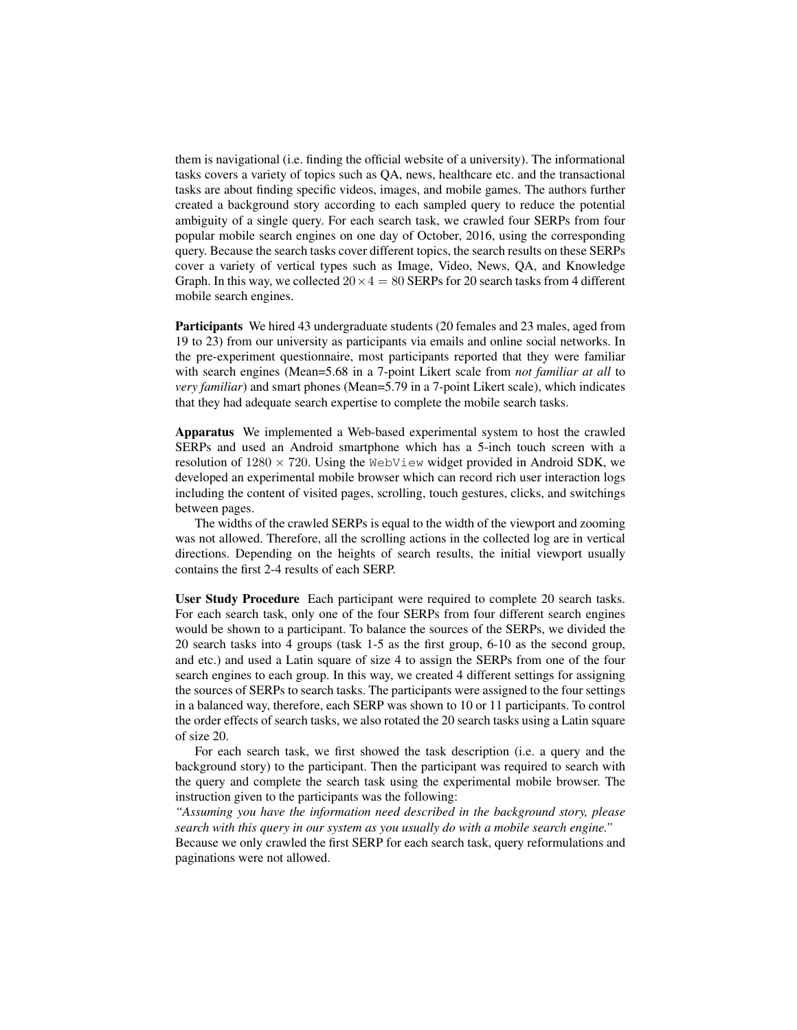them is navigational (i.e. finding the official website of a university). The informational tasks covers a variety of topics such as QA, news, healthcare etc. and the transactional tasks are about finding specific videos, images, and mobile games. The authors further created a background story according to each sampled query to reduce the potential ambiguity of a single query. For each search task, we crawled four SERPs from four popular mobile search engines on one day of October, 2016, using the corresponding query. Because the search tasks cover different topics, the search results on these SERPs cover a variety of vertical types such as Image, Video, News, QA, and Knowledge Graph. In this way, we collected  $20 \times 4 = 80$  SERPs for 20 search tasks from 4 different mobile search engines.

Participants We hired 43 undergraduate students (20 females and 23 males, aged from 19 to 23) from our university as participants via emails and online social networks. In the pre-experiment questionnaire, most participants reported that they were familiar with search engines (Mean=5.68 in a 7-point Likert scale from *not familiar at all* to *very familiar*) and smart phones (Mean=5.79 in a 7-point Likert scale), which indicates that they had adequate search expertise to complete the mobile search tasks.

Apparatus We implemented a Web-based experimental system to host the crawled SERPs and used an Android smartphone which has a 5-inch touch screen with a resolution of  $1280 \times 720$ . Using the WebView widget provided in Android SDK, we developed an experimental mobile browser which can record rich user interaction logs including the content of visited pages, scrolling, touch gestures, clicks, and switchings between pages.

The widths of the crawled SERPs is equal to the width of the viewport and zooming was not allowed. Therefore, all the scrolling actions in the collected log are in vertical directions. Depending on the heights of search results, the initial viewport usually contains the first 2-4 results of each SERP.

User Study Procedure Each participant were required to complete 20 search tasks. For each search task, only one of the four SERPs from four different search engines would be shown to a participant. To balance the sources of the SERPs, we divided the 20 search tasks into 4 groups (task 1-5 as the first group, 6-10 as the second group, and etc.) and used a Latin square of size 4 to assign the SERPs from one of the four search engines to each group. In this way, we created 4 different settings for assigning the sources of SERPs to search tasks. The participants were assigned to the four settings in a balanced way, therefore, each SERP was shown to 10 or 11 participants. To control the order effects of search tasks, we also rotated the 20 search tasks using a Latin square of size 20.

For each search task, we first showed the task description (i.e. a query and the background story) to the participant. Then the participant was required to search with the query and complete the search task using the experimental mobile browser. The instruction given to the participants was the following:

*"Assuming you have the information need described in the background story, please search with this query in our system as you usually do with a mobile search engine."* Because we only crawled the first SERP for each search task, query reformulations and paginations were not allowed.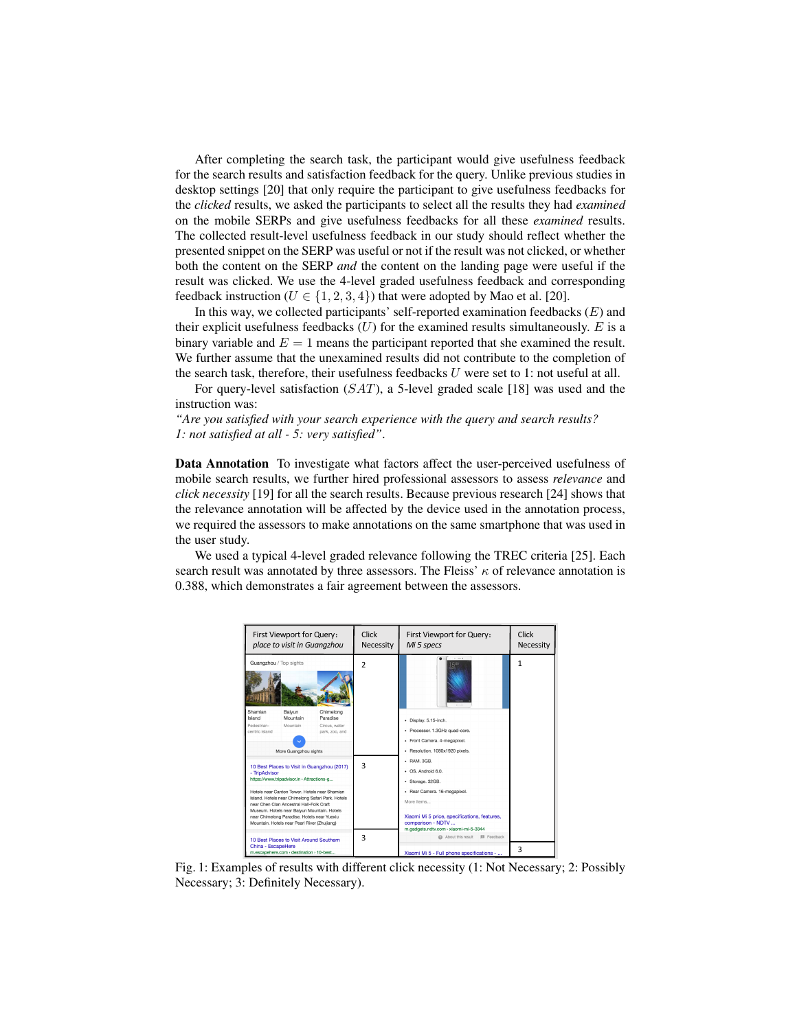After completing the search task, the participant would give usefulness feedback for the search results and satisfaction feedback for the query. Unlike previous studies in desktop settings [20] that only require the participant to give usefulness feedbacks for the *clicked* results, we asked the participants to select all the results they had *examined* on the mobile SERPs and give usefulness feedbacks for all these *examined* results. The collected result-level usefulness feedback in our study should reflect whether the presented snippet on the SERP was useful or not if the result was not clicked, or whether both the content on the SERP *and* the content on the landing page were useful if the result was clicked. We use the 4-level graded usefulness feedback and corresponding feedback instruction ( $U \in \{1, 2, 3, 4\}$ ) that were adopted by Mao et al. [20].

In this way, we collected participants' self-reported examination feedbacks  $(E)$  and their explicit usefulness feedbacks  $(U)$  for the examined results simultaneously. E is a binary variable and  $E = 1$  means the participant reported that she examined the result. We further assume that the unexamined results did not contribute to the completion of the search task, therefore, their usefulness feedbacks  $U$  were set to 1: not useful at all.

For query-level satisfaction  $(SAT)$ , a 5-level graded scale [18] was used and the instruction was:

*"Are you satisfied with your search experience with the query and search results? 1: not satisfied at all - 5: very satisfied"*.

Data Annotation To investigate what factors affect the user-perceived usefulness of mobile search results, we further hired professional assessors to assess *relevance* and *click necessity* [19] for all the search results. Because previous research [24] shows that the relevance annotation will be affected by the device used in the annotation process, we required the assessors to make annotations on the same smartphone that was used in the user study.

We used a typical 4-level graded relevance following the TREC criteria [25]. Each search result was annotated by three assessors. The Fleiss'  $\kappa$  of relevance annotation is 0.388, which demonstrates a fair agreement between the assessors.

| First Viewport for Query:<br>place to visit in Guangzhou                                                                                                                                                                                                                                                                                                                                                   |                                                         |                                                          | Click<br>Necessity           | First Viewport for Query:<br>Mi 5 specs                                                                                                                                                                                                                               | Click<br>Necessity |
|------------------------------------------------------------------------------------------------------------------------------------------------------------------------------------------------------------------------------------------------------------------------------------------------------------------------------------------------------------------------------------------------------------|---------------------------------------------------------|----------------------------------------------------------|------------------------------|-----------------------------------------------------------------------------------------------------------------------------------------------------------------------------------------------------------------------------------------------------------------------|--------------------|
| Guangzhou / Top sights<br>Shamian<br>Island<br>Pedestrian-<br>centric island                                                                                                                                                                                                                                                                                                                               | Baiyun<br>Mountain<br>Mountain<br>More Guangzhou sights | Chimelong<br>Paradise<br>Circus, water<br>park, zoo, and | 2                            | · Display. 5.15-inch.<br>· Processor. 1.3GHz quad-core.<br>· Front Camera, 4-megapixel,<br>· Resolution, 1080x1920 pixels.                                                                                                                                            | 1                  |
| 10 Best Places to Visit in Guangzhou (2017)<br>- TripAdvisor<br>https://www.tripadvisor.in > Attractions-g<br>Hotels near Canton Tower. Hotels near Shamian<br>Island, Hotels near Chimelong Safari Park, Hotels<br>near Chen Clan Ancestral Hall-Folk Craft<br>Museum. Hotels near Baivun Mountain. Hotels<br>near Chimelong Paradise. Hotels near Yuexiu<br>Mountain. Hotels near Pearl River (Zhujiang) |                                                         |                                                          | $\overline{\mathbf{3}}$<br>3 | $-$ RAM, $3GB$ .<br>$-$ OS. Android 6.0.<br>· Storage, 32GB.<br>- Rear Camera. 16-megapixel.<br>More items<br>Xiaomi Mi 5 price, specifications, features,<br>comparison - NDTV<br>m.gadgets.ndtv.com > xiaomi-mi-5-3344<br><b>BI</b> Feedback<br>@ About this result |                    |
| 10 Best Places to Visit Around Southern<br>China - EscapeHere<br>m.escapehere.com > destination > 10-best                                                                                                                                                                                                                                                                                                  |                                                         |                                                          |                              | Xiaomi Mi 5 - Full phone specifications -                                                                                                                                                                                                                             | 3                  |

Fig. 1: Examples of results with different click necessity (1: Not Necessary; 2: Possibly Necessary; 3: Definitely Necessary).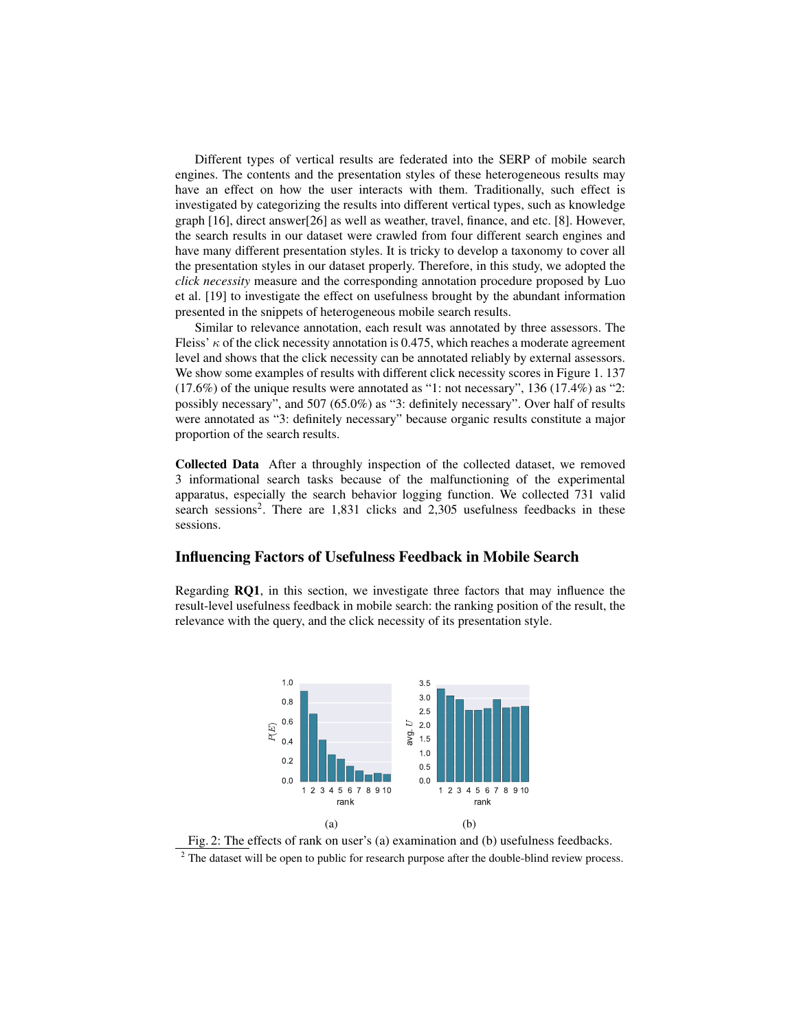Different types of vertical results are federated into the SERP of mobile search engines. The contents and the presentation styles of these heterogeneous results may have an effect on how the user interacts with them. Traditionally, such effect is investigated by categorizing the results into different vertical types, such as knowledge graph [16], direct answer[26] as well as weather, travel, finance, and etc. [8]. However, the search results in our dataset were crawled from four different search engines and have many different presentation styles. It is tricky to develop a taxonomy to cover all the presentation styles in our dataset properly. Therefore, in this study, we adopted the *click necessity* measure and the corresponding annotation procedure proposed by Luo et al. [19] to investigate the effect on usefulness brought by the abundant information presented in the snippets of heterogeneous mobile search results.

Similar to relevance annotation, each result was annotated by three assessors. The Fleiss'  $\kappa$  of the click necessity annotation is 0.475, which reaches a moderate agreement level and shows that the click necessity can be annotated reliably by external assessors. We show some examples of results with different click necessity scores in Figure 1.137 (17.6%) of the unique results were annotated as "1: not necessary", 136 (17.4%) as "2: possibly necessary", and 507 (65.0%) as "3: definitely necessary". Over half of results were annotated as "3: definitely necessary" because organic results constitute a major proportion of the search results.

Collected Data After a throughly inspection of the collected dataset, we removed 3 informational search tasks because of the malfunctioning of the experimental apparatus, especially the search behavior logging function. We collected 731 valid search sessions<sup>2</sup>. There are  $1,831$  clicks and  $2,305$  usefulness feedbacks in these sessions.

### Influencing Factors of Usefulness Feedback in Mobile Search

Regarding RQ1, in this section, we investigate three factors that may influence the result-level usefulness feedback in mobile search: the ranking position of the result, the relevance with the query, and the click necessity of its presentation style.



Fig. 2: The effects of rank on user's (a) examination and (b) usefulness feedbacks. <sup>2</sup> The dataset will be open to public for research purpose after the double-blind review process.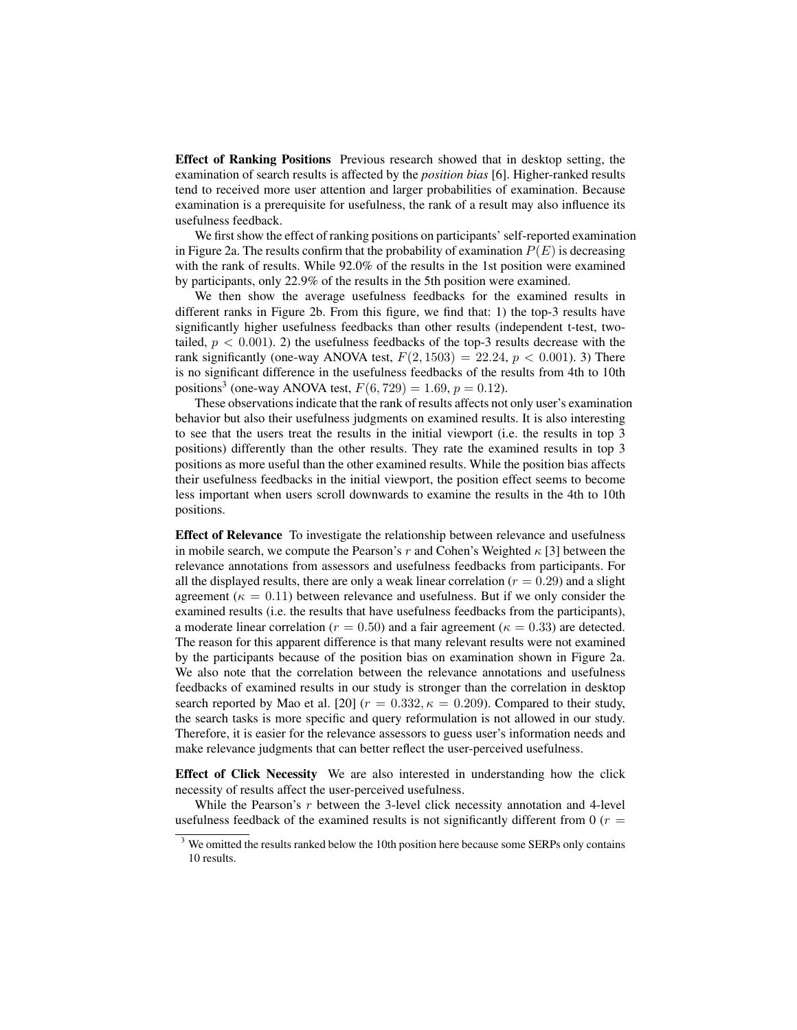Effect of Ranking Positions Previous research showed that in desktop setting, the examination of search results is affected by the *position bias* [6]. Higher-ranked results tend to received more user attention and larger probabilities of examination. Because examination is a prerequisite for usefulness, the rank of a result may also influence its usefulness feedback.

We first show the effect of ranking positions on participants' self-reported examination in Figure 2a. The results confirm that the probability of examination  $P(E)$  is decreasing with the rank of results. While 92.0% of the results in the 1st position were examined by participants, only 22.9% of the results in the 5th position were examined.

We then show the average usefulness feedbacks for the examined results in different ranks in Figure 2b. From this figure, we find that: 1) the top-3 results have significantly higher usefulness feedbacks than other results (independent t-test, twotailed,  $p < 0.001$ ). 2) the usefulness feedbacks of the top-3 results decrease with the rank significantly (one-way ANOVA test,  $F(2, 1503) = 22.24, p < 0.001$ ). 3) There is no significant difference in the usefulness feedbacks of the results from 4th to 10th positions<sup>3</sup> (one-way ANOVA test,  $F(6, 729) = 1.69, p = 0.12$ ).

These observations indicate that the rank of results affects not only user's examination behavior but also their usefulness judgments on examined results. It is also interesting to see that the users treat the results in the initial viewport (i.e. the results in top 3 positions) differently than the other results. They rate the examined results in top 3 positions as more useful than the other examined results. While the position bias affects their usefulness feedbacks in the initial viewport, the position effect seems to become less important when users scroll downwards to examine the results in the 4th to 10th positions.

Effect of Relevance To investigate the relationship between relevance and usefulness in mobile search, we compute the Pearson's r and Cohen's Weighted  $\kappa$  [3] between the relevance annotations from assessors and usefulness feedbacks from participants. For all the displayed results, there are only a weak linear correlation ( $r = 0.29$ ) and a slight agreement ( $\kappa = 0.11$ ) between relevance and usefulness. But if we only consider the examined results (i.e. the results that have usefulness feedbacks from the participants), a moderate linear correlation ( $r = 0.50$ ) and a fair agreement ( $\kappa = 0.33$ ) are detected. The reason for this apparent difference is that many relevant results were not examined by the participants because of the position bias on examination shown in Figure 2a. We also note that the correlation between the relevance annotations and usefulness feedbacks of examined results in our study is stronger than the correlation in desktop search reported by Mao et al. [20]  $(r = 0.332, \kappa = 0.209)$ . Compared to their study, the search tasks is more specific and query reformulation is not allowed in our study. Therefore, it is easier for the relevance assessors to guess user's information needs and make relevance judgments that can better reflect the user-perceived usefulness.

Effect of Click Necessity We are also interested in understanding how the click necessity of results affect the user-perceived usefulness.

While the Pearson's  $r$  between the 3-level click necessity annotation and 4-level usefulness feedback of the examined results is not significantly different from 0 ( $r =$ 

<sup>&</sup>lt;sup>3</sup> We omitted the results ranked below the 10th position here because some SERPs only contains 10 results.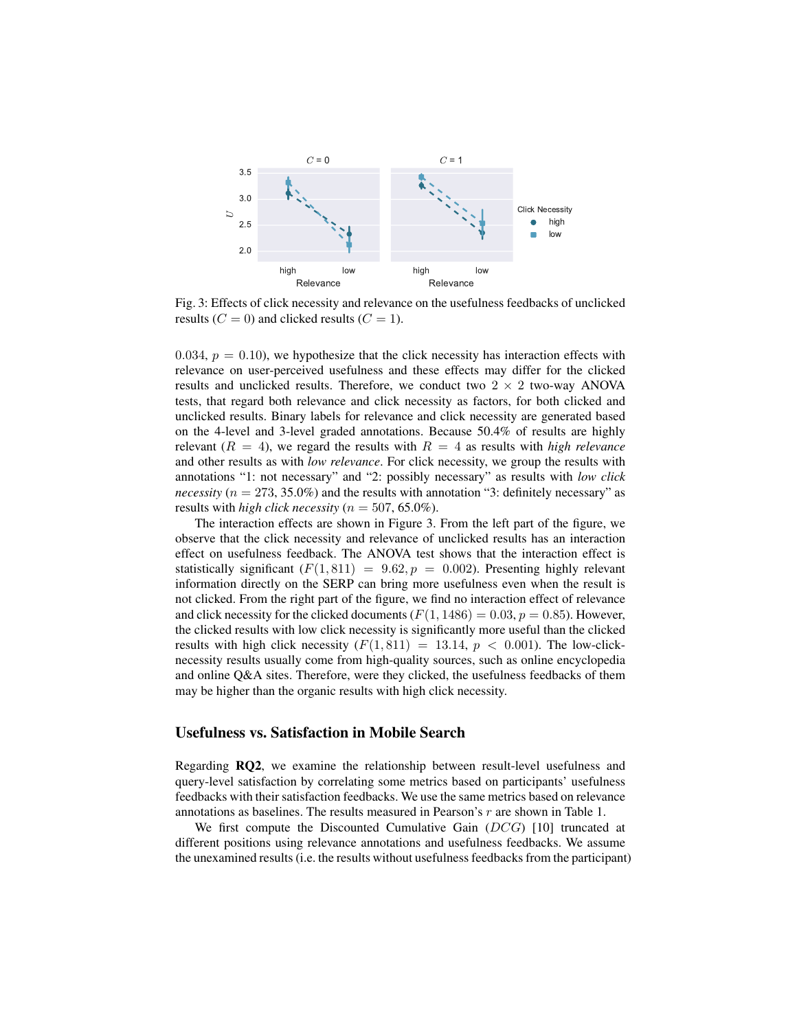

Fig. 3: Effects of click necessity and relevance on the usefulness feedbacks of unclicked results ( $C = 0$ ) and clicked results ( $C = 1$ ).

0.034,  $p = 0.10$ ), we hypothesize that the click necessity has interaction effects with relevance on user-perceived usefulness and these effects may differ for the clicked results and unclicked results. Therefore, we conduct two  $2 \times 2$  two-way ANOVA tests, that regard both relevance and click necessity as factors, for both clicked and unclicked results. Binary labels for relevance and click necessity are generated based on the 4-level and 3-level graded annotations. Because 50.4% of results are highly relevant  $(R = 4)$ , we regard the results with  $R = 4$  as results with *high relevance* and other results as with *low relevance*. For click necessity, we group the results with annotations "1: not necessary" and "2: possibly necessary" as results with *low click necessity* ( $n = 273, 35.0\%$ ) and the results with annotation "3: definitely necessary" as results with *high click necessity* ( $n = 507, 65.0\%$ ).

The interaction effects are shown in Figure 3. From the left part of the figure, we observe that the click necessity and relevance of unclicked results has an interaction effect on usefulness feedback. The ANOVA test shows that the interaction effect is statistically significant  $(F(1, 811) = 9.62, p = 0.002)$ . Presenting highly relevant information directly on the SERP can bring more usefulness even when the result is not clicked. From the right part of the figure, we find no interaction effect of relevance and click necessity for the clicked documents ( $F(1, 1486) = 0.03$ ,  $p = 0.85$ ). However, the clicked results with low click necessity is significantly more useful than the clicked results with high click necessity  $(F(1, 811) = 13.14, p < 0.001)$ . The low-clicknecessity results usually come from high-quality sources, such as online encyclopedia and online Q&A sites. Therefore, were they clicked, the usefulness feedbacks of them may be higher than the organic results with high click necessity.

### Usefulness vs. Satisfaction in Mobile Search

Regarding RQ2, we examine the relationship between result-level usefulness and query-level satisfaction by correlating some metrics based on participants' usefulness feedbacks with their satisfaction feedbacks. We use the same metrics based on relevance annotations as baselines. The results measured in Pearson's r are shown in Table 1.

We first compute the Discounted Cumulative Gain  $(DCG)$  [10] truncated at different positions using relevance annotations and usefulness feedbacks. We assume the unexamined results (i.e. the results without usefulness feedbacks from the participant)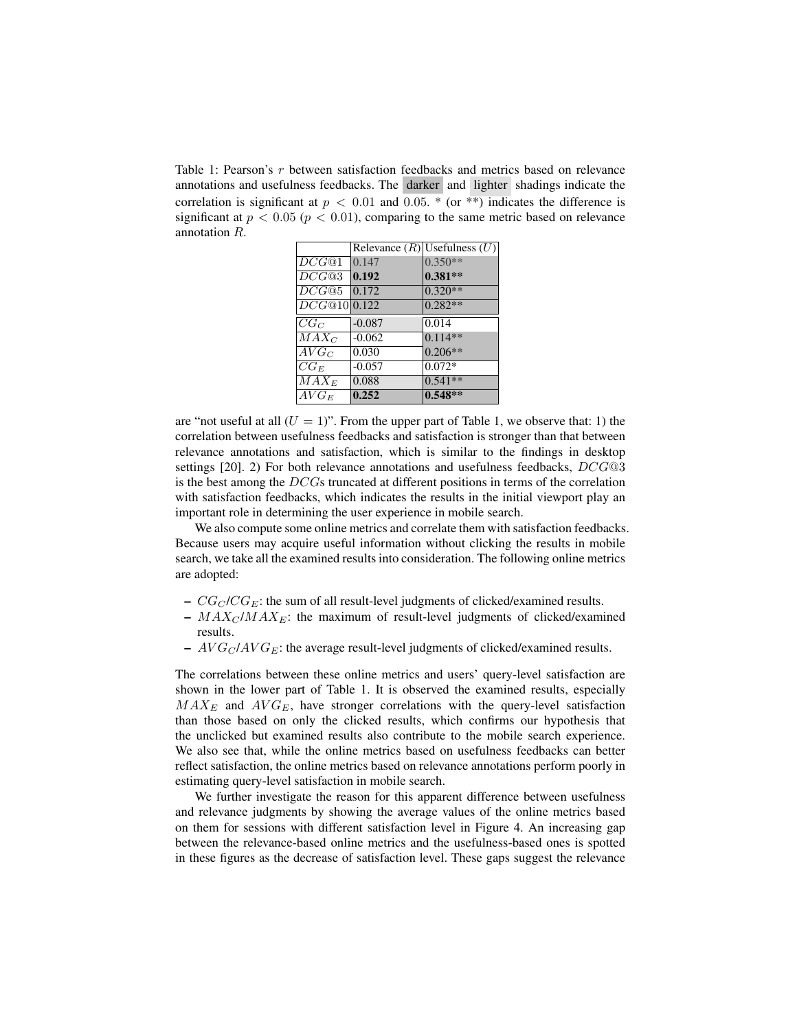Table 1: Pearson's r between satisfaction feedbacks and metrics based on relevance annotations and usefulness feedbacks. The darker and lighter shadings indicate the correlation is significant at  $p < 0.01$  and 0.05. \* (or \*\*) indicates the difference is significant at  $p < 0.05$  ( $p < 0.01$ ), comparing to the same metric based on relevance annotation R.

|              |          | Relevance $(R)$ Usefulness $(U)$ |
|--------------|----------|----------------------------------|
| DCG@1        | 0.147    | $0.350**$                        |
| DCG@3        | 0.192    | $0.381**$                        |
| DCG@5        | 0.172    | $0.320**$                        |
| DCG@10 0.122 |          | $0.282**$                        |
| $CG_C$       | $-0.087$ | 0.014                            |
| $MAX_C$      | $-0.062$ | $0.114**$                        |
| $AVG_C$      | 0.030    | $0.206**$                        |
| $CG_E$       | $-0.057$ | $0.072*$                         |
| $MAX_E$      | 0.088    | $0.541**$                        |
| $AVG_E$      | 0.252    | $0.548**$                        |

are "not useful at all  $(U = 1)$ ". From the upper part of Table 1, we observe that: 1) the correlation between usefulness feedbacks and satisfaction is stronger than that between relevance annotations and satisfaction, which is similar to the findings in desktop settings [20]. 2) For both relevance annotations and usefulness feedbacks, DCG@3 is the best among the DCGs truncated at different positions in terms of the correlation with satisfaction feedbacks, which indicates the results in the initial viewport play an important role in determining the user experience in mobile search.

We also compute some online metrics and correlate them with satisfaction feedbacks. Because users may acquire useful information without clicking the results in mobile search, we take all the examined results into consideration. The following online metrics are adopted:

- $CG_C / CG_E$ : the sum of all result-level judgments of clicked/examined results.
- $MAX_C / MAX_E$ : the maximum of result-level judgments of clicked/examined results.
- $-AVG_C/AVG_E$ : the average result-level judgments of clicked/examined results.

The correlations between these online metrics and users' query-level satisfaction are shown in the lower part of Table 1. It is observed the examined results, especially  $MAX_E$  and  $AVG_E$ , have stronger correlations with the query-level satisfaction than those based on only the clicked results, which confirms our hypothesis that the unclicked but examined results also contribute to the mobile search experience. We also see that, while the online metrics based on usefulness feedbacks can better reflect satisfaction, the online metrics based on relevance annotations perform poorly in estimating query-level satisfaction in mobile search.

We further investigate the reason for this apparent difference between usefulness and relevance judgments by showing the average values of the online metrics based on them for sessions with different satisfaction level in Figure 4. An increasing gap between the relevance-based online metrics and the usefulness-based ones is spotted in these figures as the decrease of satisfaction level. These gaps suggest the relevance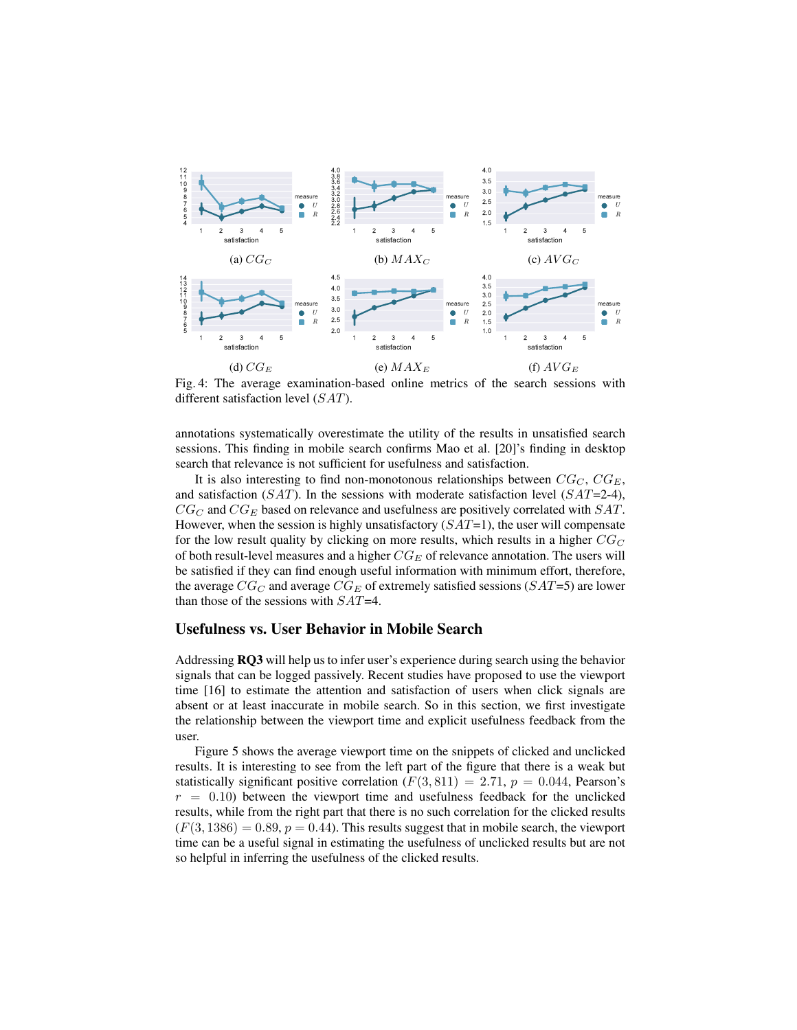

Fig. 4: The average examination-based online metrics of the search sessions with different satisfaction level (SAT).

annotations systematically overestimate the utility of the results in unsatisfied search sessions. This finding in mobile search confirms Mao et al. [20]'s finding in desktop search that relevance is not sufficient for usefulness and satisfaction.

It is also interesting to find non-monotonous relationships between  $CG_C$ ,  $CG_E$ , and satisfaction ( $SAT$ ). In the sessions with moderate satisfaction level ( $SAT=2-4$ ),  $CG_C$  and  $CG_E$  based on relevance and usefulness are positively correlated with  $SAT$ . However, when the session is highly unsatisfactory  $(SAT=1)$ , the user will compensate for the low result quality by clicking on more results, which results in a higher  $CG_C$ of both result-level measures and a higher  $CG_E$  of relevance annotation. The users will be satisfied if they can find enough useful information with minimum effort, therefore, the average  $CG_C$  and average  $CG_E$  of extremely satisfied sessions ( $SAT=5$ ) are lower than those of the sessions with  $SAT=4$ .

# Usefulness vs. User Behavior in Mobile Search

Addressing RQ3 will help us to infer user's experience during search using the behavior signals that can be logged passively. Recent studies have proposed to use the viewport time [16] to estimate the attention and satisfaction of users when click signals are absent or at least inaccurate in mobile search. So in this section, we first investigate the relationship between the viewport time and explicit usefulness feedback from the user.

Figure 5 shows the average viewport time on the snippets of clicked and unclicked results. It is interesting to see from the left part of the figure that there is a weak but statistically significant positive correlation  $(F(3, 811) = 2.71, p = 0.044,$  Pearson's  $r = 0.10$ ) between the viewport time and usefulness feedback for the unclicked results, while from the right part that there is no such correlation for the clicked results  $(F(3, 1386) = 0.89, p = 0.44)$ . This results suggest that in mobile search, the viewport time can be a useful signal in estimating the usefulness of unclicked results but are not so helpful in inferring the usefulness of the clicked results.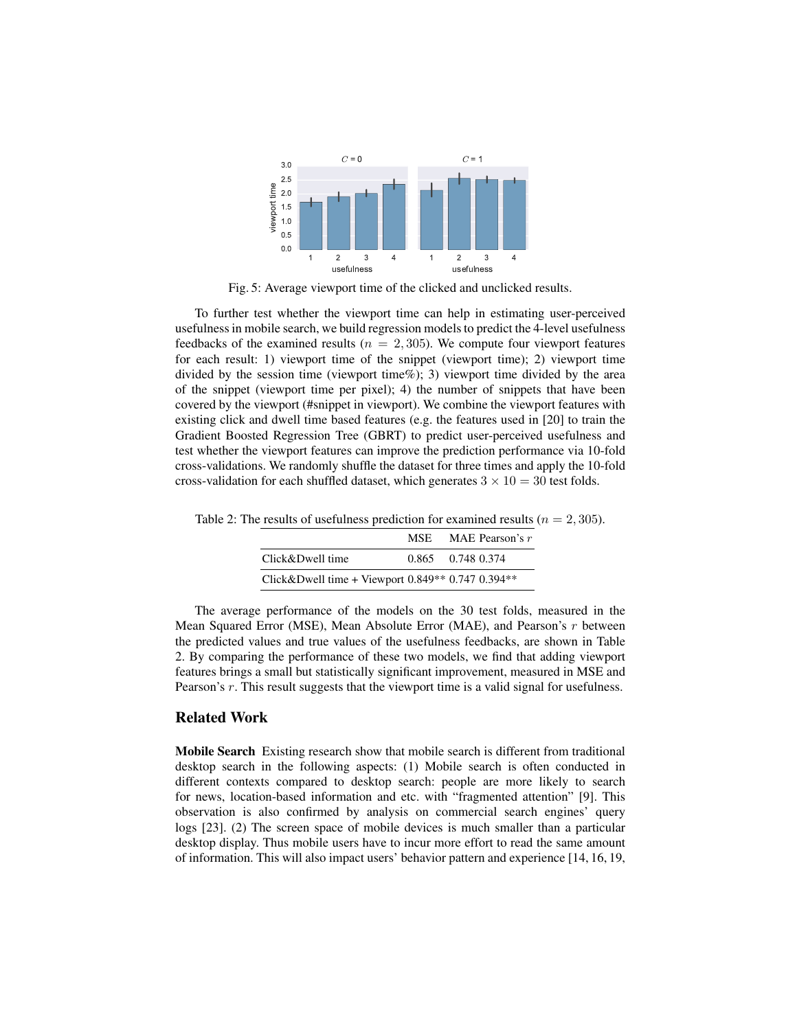

Fig. 5: Average viewport time of the clicked and unclicked results.

To further test whether the viewport time can help in estimating user-perceived usefulness in mobile search, we build regression models to predict the 4-level usefulness feedbacks of the examined results ( $n = 2,305$ ). We compute four viewport features for each result: 1) viewport time of the snippet (viewport time); 2) viewport time divided by the session time (viewport time%); 3) viewport time divided by the area of the snippet (viewport time per pixel); 4) the number of snippets that have been covered by the viewport (#snippet in viewport). We combine the viewport features with existing click and dwell time based features (e.g. the features used in [20] to train the Gradient Boosted Regression Tree (GBRT) to predict user-perceived usefulness and test whether the viewport features can improve the prediction performance via 10-fold cross-validations. We randomly shuffle the dataset for three times and apply the 10-fold cross-validation for each shuffled dataset, which generates  $3 \times 10 = 30$  test folds.

|                                                   | <b>MSE</b>        | MAE Pearson's $r$ |
|---------------------------------------------------|-------------------|-------------------|
| Click&Dwell time                                  | 0.865 0.748 0.374 |                   |
| Click&Dwell time + Viewport $0.849**0.7470.394**$ |                   |                   |

Table 2: The results of usefulness prediction for examined results ( $n = 2,305$ ).

The average performance of the models on the 30 test folds, measured in the Mean Squared Error (MSE), Mean Absolute Error (MAE), and Pearson's r between the predicted values and true values of the usefulness feedbacks, are shown in Table 2. By comparing the performance of these two models, we find that adding viewport features brings a small but statistically significant improvement, measured in MSE and Pearson's r. This result suggests that the viewport time is a valid signal for usefulness.

### Related Work

Mobile Search Existing research show that mobile search is different from traditional desktop search in the following aspects: (1) Mobile search is often conducted in different contexts compared to desktop search: people are more likely to search for news, location-based information and etc. with "fragmented attention" [9]. This observation is also confirmed by analysis on commercial search engines' query logs [23]. (2) The screen space of mobile devices is much smaller than a particular desktop display. Thus mobile users have to incur more effort to read the same amount of information. This will also impact users' behavior pattern and experience [14, 16, 19,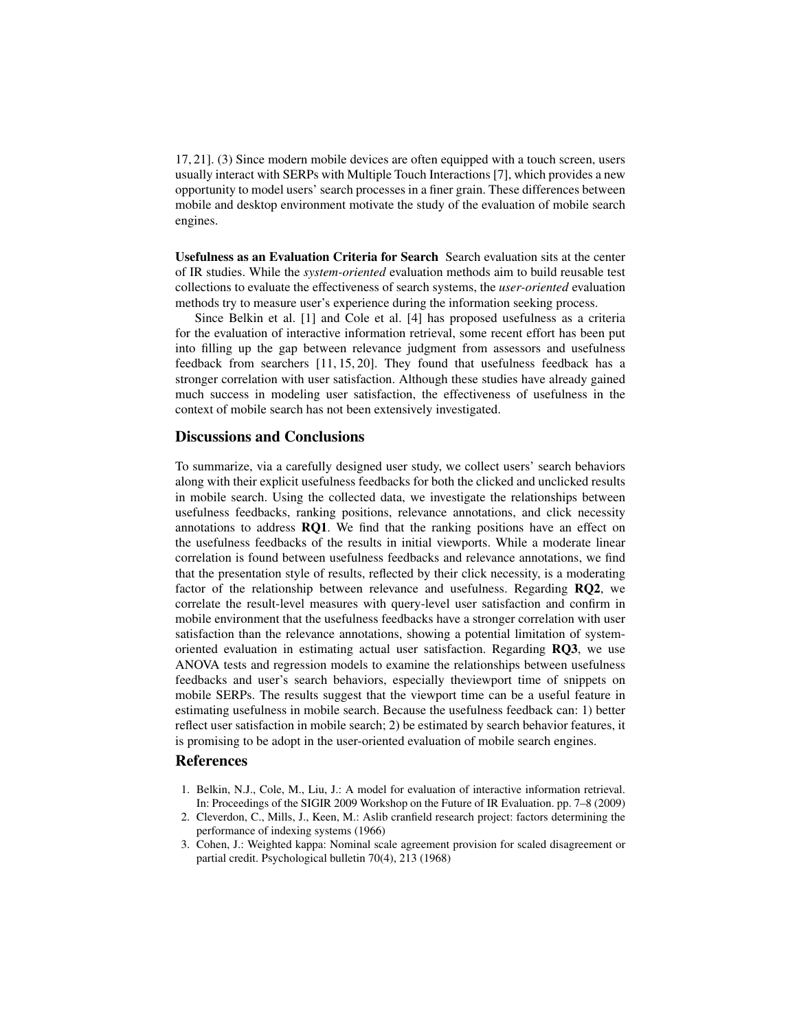17, 21]. (3) Since modern mobile devices are often equipped with a touch screen, users usually interact with SERPs with Multiple Touch Interactions [7], which provides a new opportunity to model users' search processes in a finer grain. These differences between mobile and desktop environment motivate the study of the evaluation of mobile search engines.

Usefulness as an Evaluation Criteria for Search Search evaluation sits at the center of IR studies. While the *system-oriented* evaluation methods aim to build reusable test collections to evaluate the effectiveness of search systems, the *user-oriented* evaluation methods try to measure user's experience during the information seeking process.

Since Belkin et al. [1] and Cole et al. [4] has proposed usefulness as a criteria for the evaluation of interactive information retrieval, some recent effort has been put into filling up the gap between relevance judgment from assessors and usefulness feedback from searchers [11, 15, 20]. They found that usefulness feedback has a stronger correlation with user satisfaction. Although these studies have already gained much success in modeling user satisfaction, the effectiveness of usefulness in the context of mobile search has not been extensively investigated.

# Discussions and Conclusions

To summarize, via a carefully designed user study, we collect users' search behaviors along with their explicit usefulness feedbacks for both the clicked and unclicked results in mobile search. Using the collected data, we investigate the relationships between usefulness feedbacks, ranking positions, relevance annotations, and click necessity annotations to address RQ1. We find that the ranking positions have an effect on the usefulness feedbacks of the results in initial viewports. While a moderate linear correlation is found between usefulness feedbacks and relevance annotations, we find that the presentation style of results, reflected by their click necessity, is a moderating factor of the relationship between relevance and usefulness. Regarding RQ2, we correlate the result-level measures with query-level user satisfaction and confirm in mobile environment that the usefulness feedbacks have a stronger correlation with user satisfaction than the relevance annotations, showing a potential limitation of systemoriented evaluation in estimating actual user satisfaction. Regarding RQ3, we use ANOVA tests and regression models to examine the relationships between usefulness feedbacks and user's search behaviors, especially theviewport time of snippets on mobile SERPs. The results suggest that the viewport time can be a useful feature in estimating usefulness in mobile search. Because the usefulness feedback can: 1) better reflect user satisfaction in mobile search; 2) be estimated by search behavior features, it is promising to be adopt in the user-oriented evaluation of mobile search engines.

#### **References**

- 1. Belkin, N.J., Cole, M., Liu, J.: A model for evaluation of interactive information retrieval. In: Proceedings of the SIGIR 2009 Workshop on the Future of IR Evaluation. pp. 7–8 (2009)
- 2. Cleverdon, C., Mills, J., Keen, M.: Aslib cranfield research project: factors determining the performance of indexing systems (1966)
- 3. Cohen, J.: Weighted kappa: Nominal scale agreement provision for scaled disagreement or partial credit. Psychological bulletin 70(4), 213 (1968)